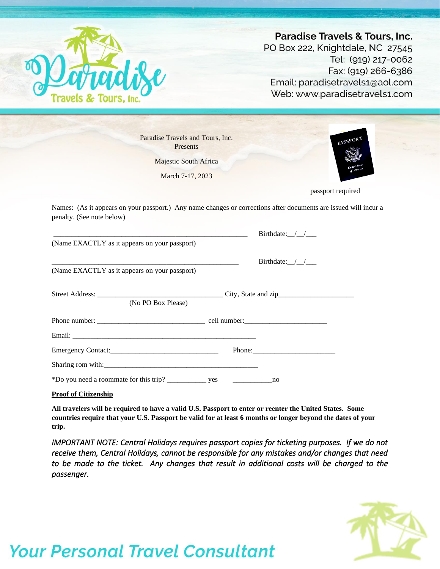

|                                               | Paradise Travels and Tours, Inc.<br><b>PASSPORT</b><br>Presents                                                                                                                                                                |
|-----------------------------------------------|--------------------------------------------------------------------------------------------------------------------------------------------------------------------------------------------------------------------------------|
|                                               | <b>Majestic South Africa</b>                                                                                                                                                                                                   |
|                                               | March 7-17, 2023                                                                                                                                                                                                               |
|                                               | passport required                                                                                                                                                                                                              |
| penalty. (See note below)                     | Names: (As it appears on your passport.) Any name changes or corrections after documents are issued will incur a                                                                                                               |
|                                               | Birthdate: $\_\_\_\_\_\_\_\_\_\$                                                                                                                                                                                               |
| (Name EXACTLY as it appears on your passport) |                                                                                                                                                                                                                                |
|                                               | Birthdate: $/$ /                                                                                                                                                                                                               |
| (Name EXACTLY as it appears on your passport) |                                                                                                                                                                                                                                |
|                                               |                                                                                                                                                                                                                                |
|                                               | (No PO Box Please)                                                                                                                                                                                                             |
|                                               |                                                                                                                                                                                                                                |
|                                               |                                                                                                                                                                                                                                |
|                                               | Phone: 2008. Expanding the contract of the contract of the contract of the contract of the contract of the contract of the contract of the contract of the contract of the contract of the contract of the contract of the con |
|                                               | Sharing rom with:                                                                                                                                                                                                              |
|                                               |                                                                                                                                                                                                                                |

**All travelers will be required to have a valid U.S. Passport to enter or reenter the United States. Some countries require that your U.S. Passport be valid for at least 6 months or longer beyond the dates of your trip.**

*IMPORTANT NOTE: Central Holidays requires passport copies for ticketing purposes. If we do not receive them, Central Holidays, cannot be responsible for any mistakes and/or changes that need to be made to the ticket. Any changes that result in additional costs will be charged to the passenger.* 

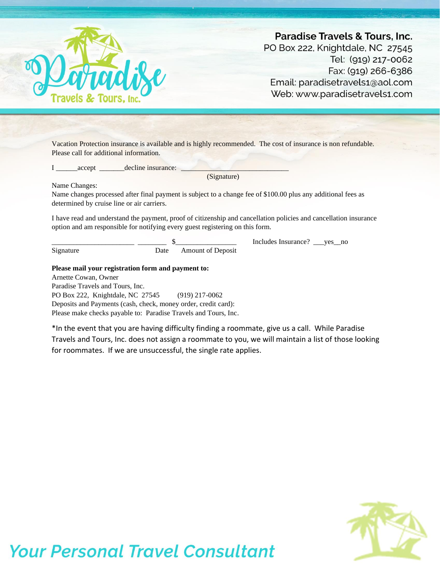

Vacation Protection insurance is available and is highly recommended. The cost of insurance is non refundable. Please call for additional information.

I \_\_\_\_\_\_accept \_\_\_\_\_\_\_decline insurance: \_\_\_\_\_\_\_\_\_\_\_\_\_\_\_\_\_\_\_\_\_\_\_\_\_\_\_\_\_\_

(Signature)

Name Changes:

Name changes processed after final payment is subject to a change fee of \$100.00 plus any additional fees as determined by cruise line or air carriers.

I have read and understand the payment, proof of citizenship and cancellation policies and cancellation insurance option and am responsible for notifying every guest registering on this form.

Includes Insurance? \_\_yes\_no Signature Date Amount of Deposit

### **Please mail your registration form and payment to:**

Arnette Cowan, Owner Paradise Travels and Tours, Inc. PO Box 222, Knightdale, NC 27545 (919) 217-0062 Deposits and Payments (cash, check, money order, credit card): Please make checks payable to: Paradise Travels and Tours, Inc.

\*In the event that you are having difficulty finding a roommate, give us a call. While Paradise Travels and Tours, Inc. does not assign a roommate to you, we will maintain a list of those looking for roommates. If we are unsuccessful, the single rate applies.

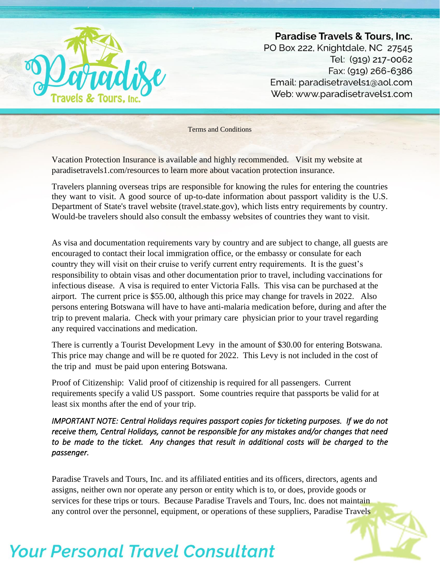

Terms and Conditions

Vacation Protection Insurance is available and highly recommended. Visit my website at paradisetravels1.com/resources to learn more about vacation protection insurance.

Travelers planning overseas trips are responsible for knowing the rules for entering the countries they want to visit. A good source of up-to-date information about passport validity is the U.S. Department of State's travel website (travel.state.gov), which lists entry requirements by country. Would-be travelers should also consult the embassy websites of countries they want to visit.

As visa and documentation requirements vary by country and are subject to change, all guests are encouraged to contact their local immigration office, or the embassy or consulate for each country they will visit on their cruise to verify current entry requirements. It is the guest's responsibility to obtain visas and other documentation prior to travel, including vaccinations for infectious disease. A visa is required to enter Victoria Falls. This visa can be purchased at the airport. The current price is \$55.00, although this price may change for travels in 2022. Also persons entering Botswana will have to have anti-malaria medication before, during and after the trip to prevent malaria. Check with your primary care physician prior to your travel regarding any required vaccinations and medication.

There is currently a Tourist Development Levy in the amount of \$30.00 for entering Botswana. This price may change and will be re quoted for 2022. This Levy is not included in the cost of the trip and must be paid upon entering Botswana.

Proof of Citizenship: Valid proof of citizenship is required for all passengers. Current requirements specify a valid US passport. Some countries require that passports be valid for at least six months after the end of your trip.

*IMPORTANT NOTE: Central Holidays requires passport copies for ticketing purposes. If we do not receive them, Central Holidays, cannot be responsible for any mistakes and/or changes that need to be made to the ticket. Any changes that result in additional costs will be charged to the passenger.* 

Paradise Travels and Tours, Inc. and its affiliated entities and its officers, directors, agents and assigns, neither own nor operate any person or entity which is to, or does, provide goods or services for these trips or tours. Because Paradise Travels and Tours, Inc. does not maintain any control over the personnel, equipment, or operations of these suppliers, Paradise Travels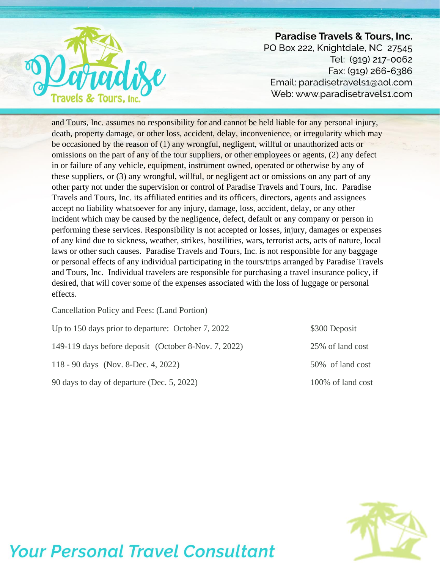

and Tours, Inc. assumes no responsibility for and cannot be held liable for any personal injury, death, property damage, or other loss, accident, delay, inconvenience, or irregularity which may be occasioned by the reason of (1) any wrongful, negligent, willful or unauthorized acts or omissions on the part of any of the tour suppliers, or other employees or agents, (2) any defect in or failure of any vehicle, equipment, instrument owned, operated or otherwise by any of these suppliers, or (3) any wrongful, willful, or negligent act or omissions on any part of any other party not under the supervision or control of Paradise Travels and Tours, Inc. Paradise Travels and Tours, Inc. its affiliated entities and its officers, directors, agents and assignees accept no liability whatsoever for any injury, damage, loss, accident, delay, or any other incident which may be caused by the negligence, defect, default or any company or person in performing these services. Responsibility is not accepted or losses, injury, damages or expenses of any kind due to sickness, weather, strikes, hostilities, wars, terrorist acts, acts of nature, local laws or other such causes. Paradise Travels and Tours, Inc. is not responsible for any baggage or personal effects of any individual participating in the tours/trips arranged by Paradise Travels and Tours, Inc. Individual travelers are responsible for purchasing a travel insurance policy, if desired, that will cover some of the expenses associated with the loss of luggage or personal effects.

Cancellation Policy and Fees: (Land Portion)

| Up to 150 days prior to departure: October 7, 2022   | \$300 Deposit     |  |
|------------------------------------------------------|-------------------|--|
| 149-119 days before deposit (October 8-Nov. 7, 2022) | 25\% of land cost |  |
| 118 - 90 days (Nov. 8-Dec. 4, 2022)                  | 50% of land cost  |  |
| 90 days to day of departure (Dec. 5, 2022)           | 100% of land cost |  |